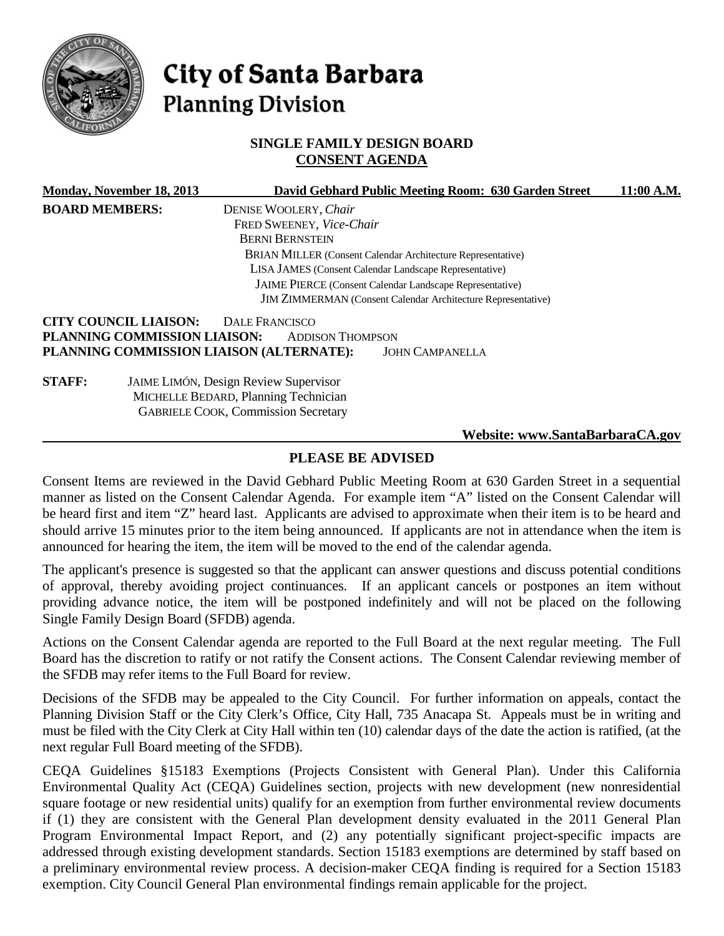

# City of Santa Barbara **Planning Division**

## **SINGLE FAMILY DESIGN BOARD CONSENT AGENDA**

|                       | Monday, November 18, 2013    |                                              | David Gebhard Public Meeting Room: 630 Garden Street                | 11:00 A.M. |
|-----------------------|------------------------------|----------------------------------------------|---------------------------------------------------------------------|------------|
| <b>BOARD MEMBERS:</b> |                              | DENISE WOOLERY, Chair                        |                                                                     |            |
|                       |                              | FRED SWEENEY, Vice-Chair                     |                                                                     |            |
|                       |                              | <b>BERNI BERNSTEIN</b>                       |                                                                     |            |
|                       |                              |                                              | <b>BRIAN MILLER (Consent Calendar Architecture Representative)</b>  |            |
|                       |                              |                                              | LISA JAMES (Consent Calendar Landscape Representative)              |            |
|                       |                              |                                              | JAIME PIERCE (Consent Calendar Landscape Representative)            |            |
|                       |                              |                                              | <b>JIM ZIMMERMAN</b> (Consent Calendar Architecture Representative) |            |
|                       | <b>CITY COUNCIL LIAISON:</b> | <b>DALE FRANCISCO</b>                        |                                                                     |            |
|                       | PLANNING COMMISSION LIAISON: | <b>ADDISON THOMPSON</b>                      |                                                                     |            |
|                       |                              | PLANNING COMMISSION LIAISON (ALTERNATE):     | <b>JOHN CAMPANELLA</b>                                              |            |
| <b>STAFF:</b>         |                              | <b>JAIME LIMÓN, Design Review Supervisor</b> |                                                                     |            |
|                       |                              | MICHELLE BEDARD, Planning Technician         |                                                                     |            |
|                       |                              | <b>GABRIELE COOK, Commission Secretary</b>   |                                                                     |            |
|                       |                              |                                              | Website: www.SantaBarbaraCA.gov                                     |            |

## **PLEASE BE ADVISED**

Consent Items are reviewed in the David Gebhard Public Meeting Room at 630 Garden Street in a sequential manner as listed on the Consent Calendar Agenda. For example item "A" listed on the Consent Calendar will be heard first and item "Z" heard last. Applicants are advised to approximate when their item is to be heard and should arrive 15 minutes prior to the item being announced. If applicants are not in attendance when the item is announced for hearing the item, the item will be moved to the end of the calendar agenda.

The applicant's presence is suggested so that the applicant can answer questions and discuss potential conditions of approval, thereby avoiding project continuances. If an applicant cancels or postpones an item without providing advance notice, the item will be postponed indefinitely and will not be placed on the following Single Family Design Board (SFDB) agenda.

Actions on the Consent Calendar agenda are reported to the Full Board at the next regular meeting. The Full Board has the discretion to ratify or not ratify the Consent actions. The Consent Calendar reviewing member of the SFDB may refer items to the Full Board for review.

Decisions of the SFDB may be appealed to the City Council. For further information on appeals, contact the Planning Division Staff or the City Clerk's Office, City Hall, 735 Anacapa St. Appeals must be in writing and must be filed with the City Clerk at City Hall within ten (10) calendar days of the date the action is ratified, (at the next regular Full Board meeting of the SFDB).

CEQA Guidelines §15183 Exemptions (Projects Consistent with General Plan). Under this California Environmental Quality Act (CEQA) Guidelines section, projects with new development (new nonresidential square footage or new residential units) qualify for an exemption from further environmental review documents if (1) they are consistent with the General Plan development density evaluated in the 2011 General Plan Program Environmental Impact Report, and (2) any potentially significant project-specific impacts are addressed through existing development standards. Section 15183 exemptions are determined by staff based on a preliminary environmental review process. A decision-maker CEQA finding is required for a Section 15183 exemption. City Council General Plan environmental findings remain applicable for the project.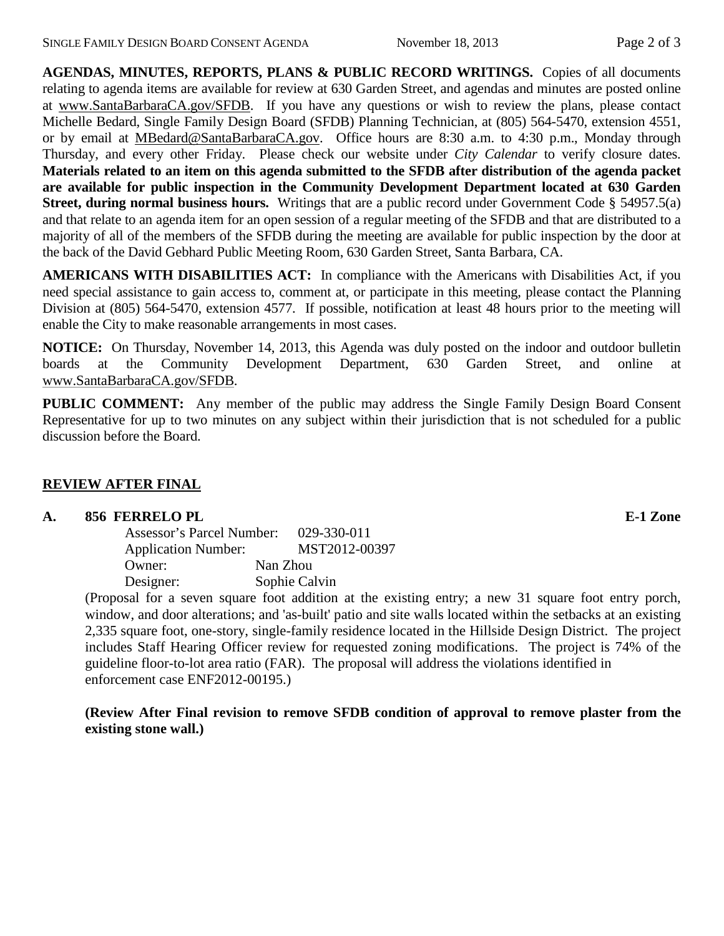**AGENDAS, MINUTES, REPORTS, PLANS & PUBLIC RECORD WRITINGS.** Copies of all documents relating to agenda items are available for review at 630 Garden Street, and agendas and minutes are posted online at [www.SantaBarbaraCA.gov/SFDB.](http://www.santabarbaraca.gov/ABR) If you have any questions or wish to review the plans, please contact Michelle Bedard, Single Family Design Board (SFDB) Planning Technician, at (805) 564-5470, extension 4551, or by email at [MBedard@SantaBarbaraCA.gov.](mailto:MBedard@SantaBarbaraCA.gov) Office hours are 8:30 a.m. to 4:30 p.m., Monday through Thursday, and every other Friday. Please check our website under *City Calendar* to verify closure dates. **Materials related to an item on this agenda submitted to the SFDB after distribution of the agenda packet are available for public inspection in the Community Development Department located at 630 Garden Street, during normal business hours.** Writings that are a public record under Government Code § 54957.5(a) and that relate to an agenda item for an open session of a regular meeting of the SFDB and that are distributed to a majority of all of the members of the SFDB during the meeting are available for public inspection by the door at the back of the David Gebhard Public Meeting Room, 630 Garden Street, Santa Barbara, CA.

**AMERICANS WITH DISABILITIES ACT:** In compliance with the Americans with Disabilities Act, if you need special assistance to gain access to, comment at, or participate in this meeting, please contact the Planning Division at (805) 564-5470, extension 4577. If possible, notification at least 48 hours prior to the meeting will enable the City to make reasonable arrangements in most cases.

**NOTICE:** On Thursday, November 14, 2013, this Agenda was duly posted on the indoor and outdoor bulletin boards at the Community Development Department, 630 Garden Street, and online at [www.SantaBarbaraCA.gov/SFDB.](http://www.santabarbaraca.gov/sfdb)

**PUBLIC COMMENT:** Any member of the public may address the Single Family Design Board Consent Representative for up to two minutes on any subject within their jurisdiction that is not scheduled for a public discussion before the Board.

### **REVIEW AFTER FINAL**

#### **A. 856 FERRELO PL E-1 Zone**

| Assessor's Parcel Number:  | 029-330-011   |
|----------------------------|---------------|
| <b>Application Number:</b> | MST2012-00397 |
| Owner:                     | Nan Zhou      |
| Designer:                  | Sophie Calvin |

(Proposal for a seven square foot addition at the existing entry; a new 31 square foot entry porch, window, and door alterations; and 'as-built' patio and site walls located within the setbacks at an existing 2,335 square foot, one-story, single-family residence located in the Hillside Design District. The project includes Staff Hearing Officer review for requested zoning modifications. The project is 74% of the guideline floor-to-lot area ratio (FAR). The proposal will address the violations identified in enforcement case ENF2012-00195.)

**(Review After Final revision to remove SFDB condition of approval to remove plaster from the existing stone wall.)**